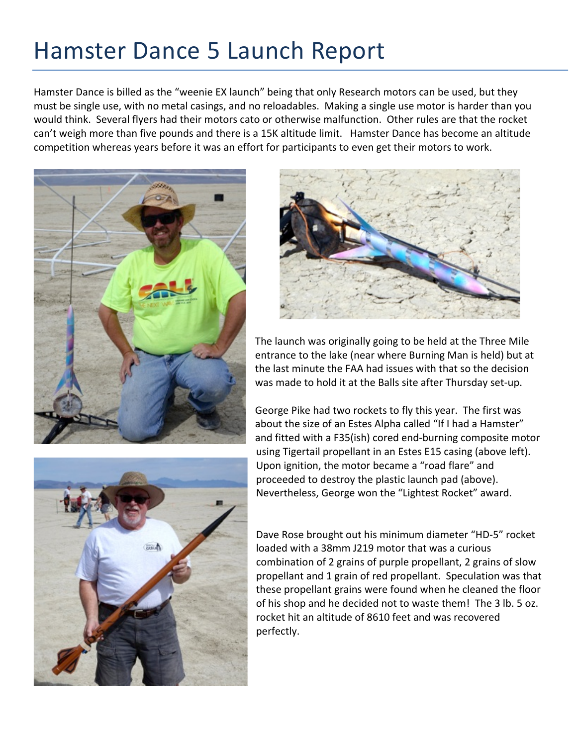## Hamster Dance 5 Launch Report

Hamster Dance is billed as the "weenie EX launch" being that only Research motors can be used, but they must be single use, with no metal casings, and no reloadables. Making a single use motor is harder than you would think. Several flyers had their motors cato or otherwise malfunction. Other rules are that the rocket can't weigh more than five pounds and there is a 15K altitude limit. Hamster Dance has become an altitude competition whereas years before it was an effort for participants to even get their motors to work.







The launch was originally going to be held at the Three Mile entrance to the lake (near where Burning Man is held) but at the last minute the FAA had issues with that so the decision was made to hold it at the Balls site after Thursday set-up.

George Pike had two rockets to fly this year. The first was about the size of an Estes Alpha called "If I had a Hamster" and fitted with a F35(ish) cored end-burning composite motor using Tigertail propellant in an Estes E15 casing (above left). Upon ignition, the motor became a "road flare" and proceeded to destroy the plastic launch pad (above). Nevertheless, George won the "Lightest Rocket" award.

Dave Rose brought out his minimum diameter "HD-5" rocket loaded with a 38mm J219 motor that was a curious combination of 2 grains of purple propellant, 2 grains of slow propellant and 1 grain of red propellant. Speculation was that these propellant grains were found when he cleaned the floor of his shop and he decided not to waste them! The 3 lb. 5 oz. rocket hit an altitude of 8610 feet and was recovered perfectly.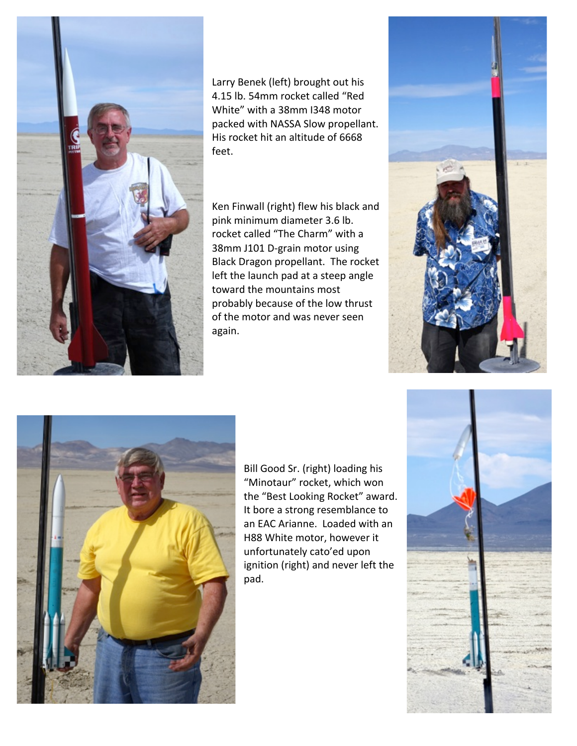

Larry Benek (left) brought out his 4.15 lb. 54mm rocket called "Red White" with a 38mm I348 motor packed with NASSA Slow propellant. His rocket hit an altitude of 6668 feet. 

Ken Finwall (right) flew his black and pink minimum diameter 3.6 lb. rocket called "The Charm" with a 38mm J101 D-grain motor using Black Dragon propellant. The rocket left the launch pad at a steep angle toward the mountains most probably because of the low thrust of the motor and was never seen again. 





Bill Good Sr. (right) loading his "Minotaur" rocket, which won the "Best Looking Rocket" award. It bore a strong resemblance to an EAC Arianne. Loaded with an H88 White motor, however it unfortunately cato'ed upon ignition (right) and never left the pad. 

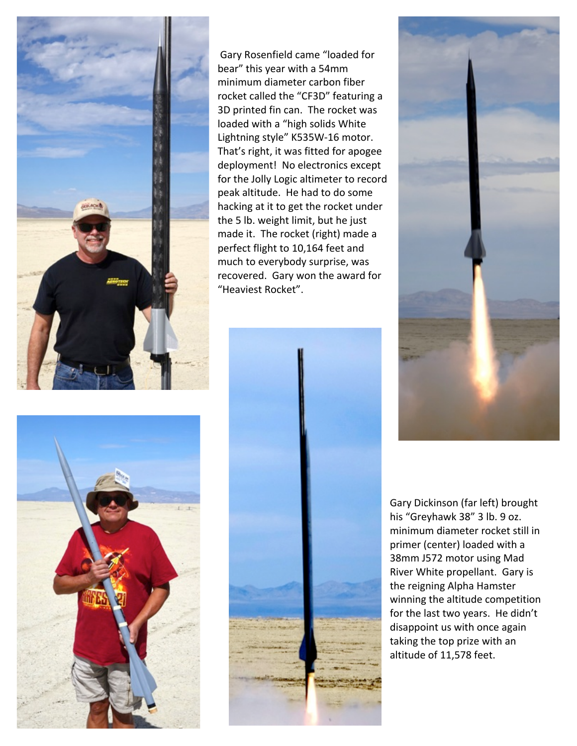

Gary Rosenfield came "loaded for bear" this year with a 54mm minimum diameter carbon fiber rocket called the "CF3D" featuring a 3D printed fin can. The rocket was loaded with a "high solids White Lightning style" K535W-16 motor. That's right, it was fitted for apogee deployment! No electronics except for the Jolly Logic altimeter to record peak altitude. He had to do some hacking at it to get the rocket under the 5 lb. weight limit, but he just made it. The rocket (right) made a perfect flight to 10,164 feet and much to everybody surprise, was recovered. Gary won the award for "Heaviest Rocket".







Gary Dickinson (far left) brought his "Greyhawk 38" 3 lb. 9 oz. minimum diameter rocket still in primer (center) loaded with a 38mm J572 motor using Mad River White propellant. Gary is the reigning Alpha Hamster winning the altitude competition for the last two years. He didn't disappoint us with once again taking the top prize with an altitude of 11,578 feet.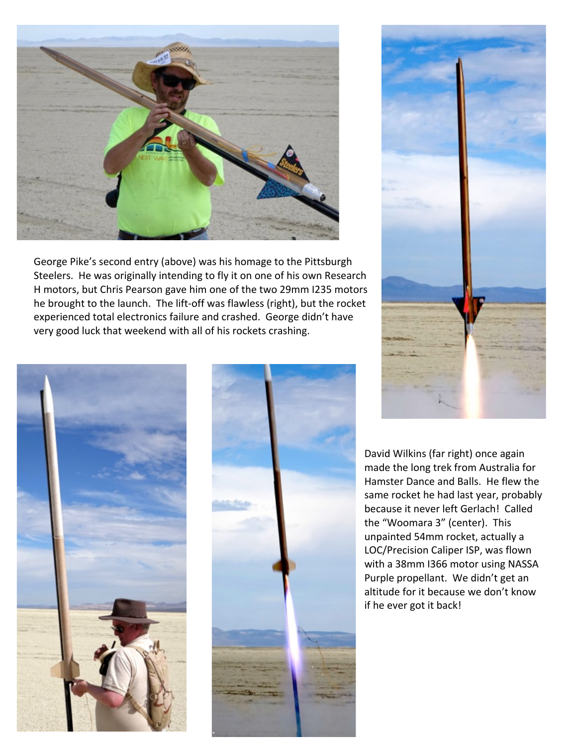

George Pike's second entry (above) was his homage to the Pittsburgh Steelers. He was originally intending to fly it on one of his own Research H motors, but Chris Pearson gave him one of the two 29mm I235 motors he brought to the launch. The lift-off was flawless (right), but the rocket experienced total electronics failure and crashed. George didn't have very good luck that weekend with all of his rockets crashing.







David Wilkins (far right) once again made the long trek from Australia for Hamster Dance and Balls. He flew the same rocket he had last year, probably because it never left Gerlach! Called the "Woomara 3" (center). This unpainted 54mm rocket, actually a LOC/Precision Caliper ISP, was flown with a 38mm I366 motor using NASSA Purple propellant. We didn't get an altitude for it because we don't know if he ever got it back!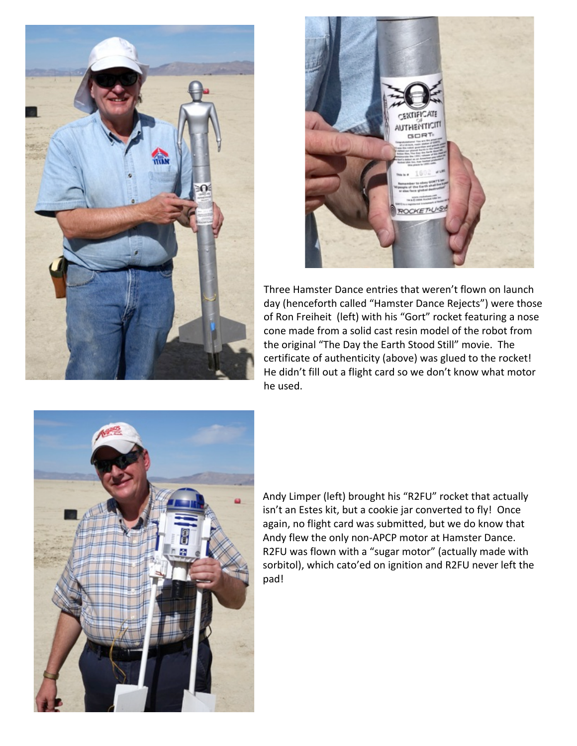



Three Hamster Dance entries that weren't flown on launch day (henceforth called "Hamster Dance Rejects") were those of Ron Freiheit (left) with his "Gort" rocket featuring a nose cone made from a solid cast resin model of the robot from the original "The Day the Earth Stood Still" movie. The certificate of authenticity (above) was glued to the rocket! He didn't fill out a flight card so we don't know what motor he used.



Andy Limper (left) brought his "R2FU" rocket that actually isn't an Estes kit, but a cookie jar converted to fly! Once again, no flight card was submitted, but we do know that Andy flew the only non-APCP motor at Hamster Dance. R2FU was flown with a "sugar motor" (actually made with sorbitol), which cato'ed on ignition and R2FU never left the pad!